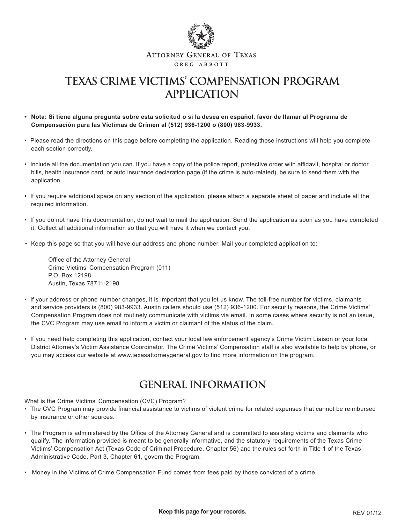

## **TEXAS CRIME VICTIMS' COMPENSATION PROGRAM APPLICATION**

- **Nota: Si tiene alguna pregunta sobre esta solicitud o si la desea en español, favor de llamar al Programa de Compensación para las Víctimas de Crímen al (512) 936-1200 o (800) 983-9933.**
- Please read the directions on this page before completing the application. Reading these instructions will help you complete each section correctly.
- Include all the documentation you can. If you have a copy of the police report, protective order with affidavit, hospital or doctor bills, health insurance card, or auto insurance declaration page (if the crime is auto-related), be sure to send them with the application.
- If you require additional space on any section of the application, please attach a separate sheet of paper and include all the required information.
- If you do not have this documentation, do not wait to mail the application. Send the application as soon as you have completed it. Collect all additional information so that you will have it when we contact you.
- Keep this page so that you will have our address and phone number. Mail your completed application to:

Office of the Attorney General Crime Victims' Compensation Program (011) P.O. Box 12198 Austin, Texas 78711-2198

- If your address or phone number changes, it is important that you let us know. The toll-free number for victims, claimants and service providers is (800) 983-9933. Austin callers should use (512) 936-1200. For security reasons, the Crime Victims' Compensation Program does not routinely communicate with victims via email. In some cases where security is not an issue, the CVC Program may use email to inform a victim or claimant of the status of the claim.
- If you need help completing this application, contact your local law enforcement agency's Crime Victim Liaison or your local District Attorney's Victim Assistance Coordinator. The Crime Victims' Compensation staff is also available to help by phone, or you may access our website at www.texasattorneygeneral.gov to find more information on the program.

### **GENERAL INFORMATION**

What is the Crime Victims' Compensation (CVC) Program?

- The CVC Program may provide financial assistance to victims of violent crime for related expenses that cannot be reimbursed by insurance or other sources.
- The Program is administered by the Office of the Attorney General and is committed to assisting victims and claimants who qualify. The information provided is meant to be generally informative, and the statutory requirements of the Texas Crime Victims' Compensation Act (Texas Code of Criminal Procedure, Chapter 56) and the rules set forth in Title 1 of the Texas Administrative Code, Part 3, Chapter 61, govern the Program.
- Money in the Victims of Crime Compensation Fund comes from fees paid by those convicted of a crime.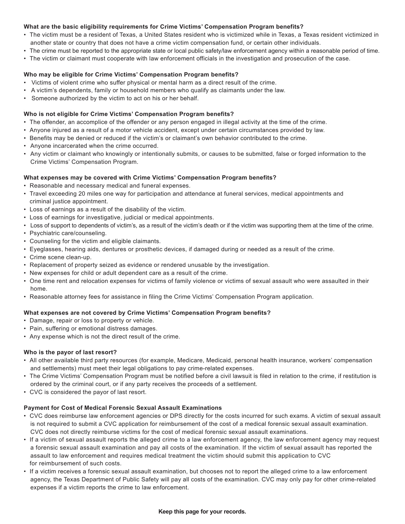#### **What are the basic eligibility requirements for Crime Victims' Compensation Program benefits?**

- The victim must be a resident of Texas, a United States resident who is victimized while in Texas, a Texas resident victimized in another state or country that does not have a crime victim compensation fund, or certain other individuals.
- The crime must be reported to the appropriate state or local public safety/law enforcement agency within a reasonable period of time.
- The victim or claimant must cooperate with law enforcement officials in the investigation and prosecution of the case.

#### **Who may be eligible for Crime Victims' Compensation Program benefits?**

- Victims of violent crime who suffer physical or mental harm as a direct result of the crime.
- A victim's dependents, family or household members who qualify as claimants under the law.
- Someone authorized by the victim to act on his or her behalf.

#### **Who is not eligible for Crime Victims' Compensation Program benefits?**

- The offender, an accomplice of the offender or any person engaged in illegal activity at the time of the crime.
- Anyone injured as a result of a motor vehicle accident, except under certain circumstances provided by law.
- Benefits may be denied or reduced if the victim's or claimant's own behavior contributed to the crime.
- Anyone incarcerated when the crime occurred.
- Any victim or claimant who knowingly or intentionally submits, or causes to be submitted, false or forged information to the Crime Victims' Compensation Program.

#### **What expenses may be covered with Crime Victims' Compensation Program benefits?**

- Reasonable and necessary medical and funeral expenses.
- Travel exceeding 20 miles one way for participation and attendance at funeral services, medical appointments and criminal justice appointment.
- Loss of earnings as a result of the disability of the victim.
- Loss of earnings for investigative, judicial or medical appointments.
- Loss of support to dependents of victim's, as a result of the victim's death or if the victim was supporting them at the time of the crime.
- Psychiatric care/counseling.
- Counseling for the victim and eligible claimants.
- Eyeglasses, hearing aids, dentures or prosthetic devices, if damaged during or needed as a result of the crime.
- Crime scene clean-up.
- Replacement of property seized as evidence or rendered unusable by the investigation.
- New expenses for child or adult dependent care as a result of the crime.
- One time rent and relocation expenses for victims of family violence or victims of sexual assault who were assaulted in their home.
- Reasonable attorney fees for assistance in filing the Crime Victims' Compensation Program application.

#### **What expenses are not covered by Crime Victims' Compensation Program benefits?**

- Damage, repair or loss to property or vehicle.
- Pain, suffering or emotional distress damages.
- Any expense which is not the direct result of the crime.

#### **Who is the payor of last resort?**

- All other available third party resources (for example, Medicare, Medicaid, personal health insurance, workers' compensation and settlements) must meet their legal obligations to pay crime-related expenses.
- The Crime Victims' Compensation Program must be notified before a civil lawsuit is filed in relation to the crime, if restitution is ordered by the criminal court, or if any party receives the proceeds of a settlement.
- CVC is considered the payor of last resort.

#### **Payment for Cost of Medical Forensic Sexual Assault Examinations**

- CVC does reimburse law enforcement agencies or DPS directly for the costs incurred for such exams. A victim of sexual assault is not required to submit a CVC application for reimbursement of the cost of a medical forensic sexual assault examination. CVC does not directly reimburse victims for the cost of medical forensic sexual assault examinations.
- If a victim of sexual assault reports the alleged crime to a law enforcement agency, the law enforcement agency may request a forensic sexual assault examination and pay all costs of the examination. If the victim of sexual assault has reported the assault to law enforcement and requires medical treatment the victim should submit this application to CVC for reimbursement of such costs.
- If a victim receives a forensic sexual assault examination, but chooses not to report the alleged crime to a law enforcement agency, the Texas Department of Public Safety will pay all costs of the examination. CVC may only pay for other crime-related expenses if a victim reports the crime to law enforcement.

#### **Keep this page for your records.**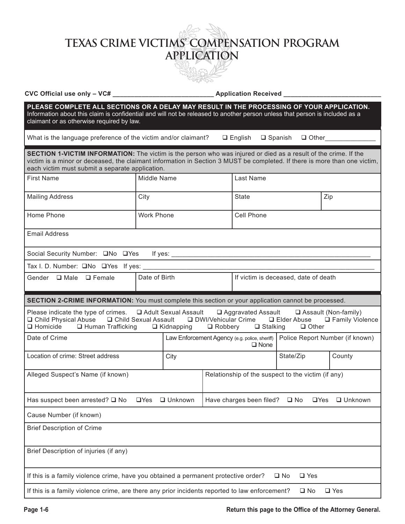# **TEXAS CRIME VICTIMS' COMPENSATION PROGRAM APPLICATION**

**CVC Official use only – VC# \_\_\_\_\_\_\_\_\_\_\_\_\_\_\_\_\_\_\_\_\_\_\_\_\_\_\_\_ Application Received \_\_\_\_\_\_\_\_\_\_\_\_\_\_\_\_\_\_\_\_\_\_\_\_\_\_\_**

**PLEASE COMPLETE ALL SECTIONS OR A DELAY MAY RESULT IN THE PROCESSING OF YOUR APPLICATION.**  Information about this claim is confidential and will not be released to another person unless that person is included as a claimant or as otherwise required by law. What is the language preference of the victim and/or claimant?  $\Box$  English  $\Box$  Spanish  $\Box$  Other **SECTION 1-VICTIM INFORMATION:** The victim is the person who was injured or died as a result of the crime. If the victim is a minor or deceased, the claimant information in Section 3 MUST be completed. If there is more than one victim, each victim must submit a separate application. First Name  $\vert$  Middle Name  $\vert$  Last Name Mailing Address City City City State Zip Home Phone North Cell Phone New York Phone Cell Phone Email Address Social Security Number:  $\square$ No  $\square$ Yes If yes: Tax I. D. Number:  $\square$ No  $\square$ Yes If yes: Gender  $\Box$  Male  $\Box$  Female Date of Birth If victim is deceased, date of death **SECTION 2-CRIME INFORMATION:** You must complete this section or your application cannot be processed. Please indicate the type of crimes.  $\Box$  Adult Sexual Assault  $\Box$  Aggravated Assault  $\Box$  Assault (Non-family) **Q Child Physical Abuse G Child Sexual Assault G DWI/Vehicular Crime G Elder Abuse G Family Violence Q Homicide G Human Trafficking G Kidnapping G Robbery G Stalking G Other**  $\Box$  Human Trafficking Date of Crime **Law Enforcement Agency** (e.g. police, sheriff) □ None Police Report Number (if known) Location of crime: Street address City County County County County Alleged Suspect's Name (if known) Relationship of the suspect to the victim (if any) Has suspect been arrested?  $\Box$  No  $\Box$  Yes  $\Box$  Unknown Have charges been filed?  $\Box$  No  $\Box$  Yes  $\Box$  Unknown Cause Number (if known)

Brief Description of Crime

Brief Description of injuries (if any)

If this is a family violence crime, have you obtained a permanent protective order?  $\Box$  No  $\Box$  Yes

If this is a family violence crime, are there any prior incidents reported to law enforcement?  $\Box$  No  $\Box$  Yes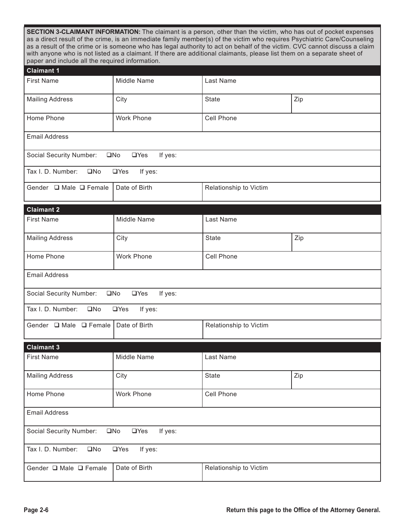| <b>SECTION 3-CLAIMANT INFORMATION:</b> The claimant is a person, other than the victim, who has out of pocket expenses<br>as a direct result of the crime, is an immediate family member(s) of the victim who requires Psychiatric Care/Counseling<br>as a result of the crime or is someone who has legal authority to act on behalf of the victim. CVC cannot discuss a claim<br>with anyone who is not listed as a claimant. If there are additional claimants, please list them on a separate sheet of<br>paper and include all the required information. |                                       |                        |     |  |
|---------------------------------------------------------------------------------------------------------------------------------------------------------------------------------------------------------------------------------------------------------------------------------------------------------------------------------------------------------------------------------------------------------------------------------------------------------------------------------------------------------------------------------------------------------------|---------------------------------------|------------------------|-----|--|
| <b>Claimant 1</b>                                                                                                                                                                                                                                                                                                                                                                                                                                                                                                                                             |                                       |                        |     |  |
| <b>First Name</b>                                                                                                                                                                                                                                                                                                                                                                                                                                                                                                                                             | <b>Middle Name</b>                    | Last Name              |     |  |
| <b>Mailing Address</b>                                                                                                                                                                                                                                                                                                                                                                                                                                                                                                                                        | City                                  | <b>State</b>           | Zip |  |
| Home Phone                                                                                                                                                                                                                                                                                                                                                                                                                                                                                                                                                    | <b>Work Phone</b>                     | Cell Phone             |     |  |
| <b>Email Address</b>                                                                                                                                                                                                                                                                                                                                                                                                                                                                                                                                          |                                       |                        |     |  |
| Social Security Number:                                                                                                                                                                                                                                                                                                                                                                                                                                                                                                                                       | $\square$ No<br>$\Box$ Yes<br>If yes: |                        |     |  |
| Tax I. D. Number:<br>$\square$ No<br>$\Box$ Yes<br>If yes:                                                                                                                                                                                                                                                                                                                                                                                                                                                                                                    |                                       |                        |     |  |
| Gender □ Male □ Female                                                                                                                                                                                                                                                                                                                                                                                                                                                                                                                                        | Date of Birth                         | Relationship to Victim |     |  |
| <b>Claimant 2</b>                                                                                                                                                                                                                                                                                                                                                                                                                                                                                                                                             |                                       |                        |     |  |
| <b>First Name</b>                                                                                                                                                                                                                                                                                                                                                                                                                                                                                                                                             | Middle Name                           | Last Name              |     |  |
| <b>Mailing Address</b>                                                                                                                                                                                                                                                                                                                                                                                                                                                                                                                                        | City                                  | <b>State</b>           | Zip |  |
| Home Phone                                                                                                                                                                                                                                                                                                                                                                                                                                                                                                                                                    | <b>Work Phone</b>                     | Cell Phone             |     |  |
| <b>Email Address</b>                                                                                                                                                                                                                                                                                                                                                                                                                                                                                                                                          |                                       |                        |     |  |
| Social Security Number:<br>$\square$ No<br>$\Box$ Yes<br>If yes:                                                                                                                                                                                                                                                                                                                                                                                                                                                                                              |                                       |                        |     |  |
| Tax I. D. Number:<br>$\square$ No<br>$\Box$ Yes<br>If yes:                                                                                                                                                                                                                                                                                                                                                                                                                                                                                                    |                                       |                        |     |  |
| Gender $\Box$ Male $\Box$ Female                                                                                                                                                                                                                                                                                                                                                                                                                                                                                                                              | Date of Birth                         | Relationship to Victim |     |  |
| <b>Claimant 3</b>                                                                                                                                                                                                                                                                                                                                                                                                                                                                                                                                             |                                       |                        |     |  |
| <b>First Name</b>                                                                                                                                                                                                                                                                                                                                                                                                                                                                                                                                             | Middle Name                           | Last Name              |     |  |
| <b>Mailing Address</b>                                                                                                                                                                                                                                                                                                                                                                                                                                                                                                                                        | City                                  | <b>State</b>           | Zip |  |
| Home Phone                                                                                                                                                                                                                                                                                                                                                                                                                                                                                                                                                    | Work Phone                            | Cell Phone             |     |  |
| <b>Email Address</b>                                                                                                                                                                                                                                                                                                                                                                                                                                                                                                                                          |                                       |                        |     |  |
| If yes:<br>Social Security Number:<br>$\square$ No<br>$\Box$ Yes                                                                                                                                                                                                                                                                                                                                                                                                                                                                                              |                                       |                        |     |  |
| Tax I. D. Number:<br>$\square$ No<br>$\Box$ Yes<br>If yes:                                                                                                                                                                                                                                                                                                                                                                                                                                                                                                    |                                       |                        |     |  |
| Gender □ Male □ Female                                                                                                                                                                                                                                                                                                                                                                                                                                                                                                                                        | Date of Birth                         | Relationship to Victim |     |  |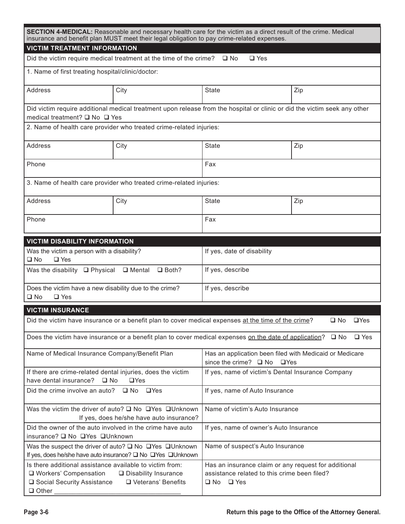| SECTION 4-MEDICAL: Reasonable and necessary health care for the victim as a direct result of the crime. Medical<br>insurance and benefit plan MUST meet their legal obligation to pay crime-related expenses. |                                                                              |                                                                                                                              |     |  |
|---------------------------------------------------------------------------------------------------------------------------------------------------------------------------------------------------------------|------------------------------------------------------------------------------|------------------------------------------------------------------------------------------------------------------------------|-----|--|
| <b>VICTIM TREATMENT INFORMATION</b>                                                                                                                                                                           |                                                                              |                                                                                                                              |     |  |
|                                                                                                                                                                                                               | Did the victim require medical treatment at the time of the crime? $\Box$ No | $\Box$ Yes                                                                                                                   |     |  |
| 1. Name of first treating hospital/clinic/doctor:                                                                                                                                                             |                                                                              |                                                                                                                              |     |  |
| Address                                                                                                                                                                                                       | City                                                                         | State                                                                                                                        | Zip |  |
| Did victim require additional medical treatment upon release from the hospital or clinic or did the victim seek any other<br>medical treatment? □ No □ Yes                                                    |                                                                              |                                                                                                                              |     |  |
| 2. Name of health care provider who treated crime-related injuries:                                                                                                                                           |                                                                              |                                                                                                                              |     |  |
| Address                                                                                                                                                                                                       | City                                                                         | <b>State</b>                                                                                                                 | Zip |  |
| Phone                                                                                                                                                                                                         |                                                                              |                                                                                                                              | Fax |  |
| 3. Name of health care provider who treated crime-related injuries:                                                                                                                                           |                                                                              |                                                                                                                              |     |  |
| Address                                                                                                                                                                                                       | City                                                                         | <b>State</b>                                                                                                                 | Zip |  |
| Phone                                                                                                                                                                                                         |                                                                              | Fax                                                                                                                          |     |  |
| <b>VICTIM DISABILITY INFORMATION</b>                                                                                                                                                                          |                                                                              |                                                                                                                              |     |  |
| Was the victim a person with a disability?<br>$\square$ Yes<br>$\square$ No                                                                                                                                   |                                                                              | If yes, date of disability                                                                                                   |     |  |
| Was the disability $\Box$ Physical<br>$\Box$ Mental<br>$\Box$ Both?                                                                                                                                           |                                                                              | If yes, describe                                                                                                             |     |  |
| Does the victim have a new disability due to the crime?<br>$\square$ Yes<br>$\square$ No                                                                                                                      |                                                                              | If yes, describe                                                                                                             |     |  |
| <b>VICTIM INSURANCE</b>                                                                                                                                                                                       |                                                                              |                                                                                                                              |     |  |
| $\Box$ Yes<br>Did the victim have insurance or a benefit plan to cover medical expenses at the time of the crime?<br>$\square$ No                                                                             |                                                                              |                                                                                                                              |     |  |
| Does the victim have insurance or a benefit plan to cover medical expenses on the date of application? $\square$ No $\square$ Yes                                                                             |                                                                              |                                                                                                                              |     |  |
| Name of Medical Insurance Company/Benefit Plan                                                                                                                                                                |                                                                              | Has an application been filed with Medicaid or Medicare<br>since the crime? □ No □ Yes                                       |     |  |
| If there are crime-related dental injuries, does the victim<br>have dental insurance?<br>$\square$ No<br>$\Box$ Yes                                                                                           |                                                                              | If yes, name of victim's Dental Insurance Company                                                                            |     |  |
| Did the crime involve an auto? $\Box$ No<br>$\square$ Yes                                                                                                                                                     |                                                                              | If yes, name of Auto Insurance                                                                                               |     |  |
| Was the victim the driver of auto? $\square$ No $\square$ Yes $\square$ Unknown<br>If yes, does he/she have auto insurance?                                                                                   |                                                                              | Name of victim's Auto Insurance                                                                                              |     |  |
| Did the owner of the auto involved in the crime have auto<br>insurance? □ No □ Yes □ Unknown                                                                                                                  |                                                                              | If yes, name of owner's Auto Insurance                                                                                       |     |  |
| Was the suspect the driver of auto? $\square$ No $\square$ Yes $\square$ Unknown<br>If yes, does he/she have auto insurance? □ No □ Yes □ Unknown                                                             |                                                                              | Name of suspect's Auto Insurance                                                                                             |     |  |
| Is there additional assistance available to victim from:<br>□ Workers' Compensation<br>□ Disability Insurance<br>□ Social Security Assistance □ Veterans' Benefits<br>$\Box$ Other                            |                                                                              | Has an insurance claim or any request for additional<br>assistance related to this crime been filed?<br>$\Box$ No $\Box$ Yes |     |  |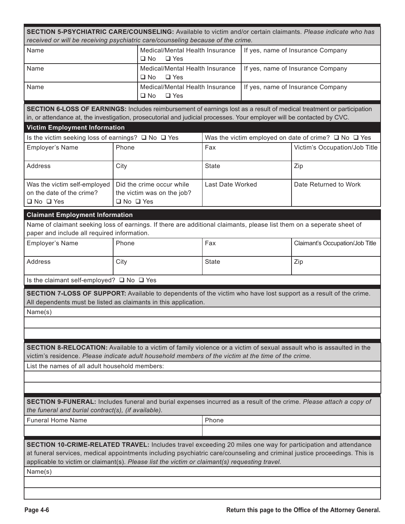| SECTION 5-PSYCHIATRIC CARE/COUNSELING: Available to victim and/or certain claimants. Please indicate who has                                                                                                                                    |       |                                                               |                  |                                   |                                                                |  |
|-------------------------------------------------------------------------------------------------------------------------------------------------------------------------------------------------------------------------------------------------|-------|---------------------------------------------------------------|------------------|-----------------------------------|----------------------------------------------------------------|--|
| received or will be receiving psychiatric care/counseling because of the crime.                                                                                                                                                                 |       |                                                               |                  |                                   |                                                                |  |
| Name                                                                                                                                                                                                                                            |       | Medical/Mental Health Insurance<br>$\Box$ Yes<br>$\square$ No |                  |                                   | If yes, name of Insurance Company                              |  |
| Name                                                                                                                                                                                                                                            |       | Medical/Mental Health Insurance<br>$\square$ No<br>$\Box$ Yes |                  |                                   | If yes, name of Insurance Company                              |  |
| Name                                                                                                                                                                                                                                            |       | Medical/Mental Health Insurance<br>$\Box$ Yes<br>$\square$ No |                  | If yes, name of Insurance Company |                                                                |  |
|                                                                                                                                                                                                                                                 |       |                                                               |                  |                                   |                                                                |  |
| SECTION 6-LOSS OF EARNINGS: Includes reimbursement of earnings lost as a result of medical treatment or participation<br>in, or attendance at, the investigation, prosecutorial and judicial processes. Your employer will be contacted by CVC. |       |                                                               |                  |                                   |                                                                |  |
| <b>Victim Employment Information</b>                                                                                                                                                                                                            |       |                                                               |                  |                                   |                                                                |  |
| Is the victim seeking loss of earnings? □ No □ Yes                                                                                                                                                                                              |       |                                                               |                  |                                   | Was the victim employed on date of crime? $\Box$ No $\Box$ Yes |  |
| Employer's Name                                                                                                                                                                                                                                 | Phone |                                                               | Fax              |                                   | Victim's Occupation/Job Title                                  |  |
| Address                                                                                                                                                                                                                                         | City  |                                                               | <b>State</b>     |                                   | Zip                                                            |  |
| Was the victim self-employed                                                                                                                                                                                                                    |       | Did the crime occur while                                     | Last Date Worked |                                   | Date Returned to Work                                          |  |
| on the date of the crime?<br>$\Box$ No $\Box$ Yes                                                                                                                                                                                               |       | the victim was on the job?<br>$\Box$ No $\Box$ Yes            |                  |                                   |                                                                |  |
| <b>Claimant Employment Information</b>                                                                                                                                                                                                          |       |                                                               |                  |                                   |                                                                |  |
| Name of claimant seeking loss of earnings. If there are additional claimants, please list them on a seperate sheet of                                                                                                                           |       |                                                               |                  |                                   |                                                                |  |
| paper and include all required information.                                                                                                                                                                                                     |       |                                                               |                  |                                   |                                                                |  |
| Employer's Name                                                                                                                                                                                                                                 | Phone |                                                               | Fax              |                                   | Claimant's Occupation/Job Title                                |  |
| Address                                                                                                                                                                                                                                         | City  |                                                               | <b>State</b>     |                                   | Zip                                                            |  |
| Is the claimant self-employed? □ No □ Yes                                                                                                                                                                                                       |       |                                                               |                  |                                   |                                                                |  |
| SECTION 7-LOSS OF SUPPORT: Available to dependents of the victim who have lost support as a result of the crime.                                                                                                                                |       |                                                               |                  |                                   |                                                                |  |
| All dependents must be listed as claimants in this application.                                                                                                                                                                                 |       |                                                               |                  |                                   |                                                                |  |
| Name(s)                                                                                                                                                                                                                                         |       |                                                               |                  |                                   |                                                                |  |
|                                                                                                                                                                                                                                                 |       |                                                               |                  |                                   |                                                                |  |
|                                                                                                                                                                                                                                                 |       |                                                               |                  |                                   |                                                                |  |
|                                                                                                                                                                                                                                                 |       |                                                               |                  |                                   |                                                                |  |
| SECTION 8-RELOCATION: Available to a victim of family violence or a victim of sexual assault who is assaulted in the                                                                                                                            |       |                                                               |                  |                                   |                                                                |  |
| victim's residence. Please indicate adult household members of the victim at the time of the crime.                                                                                                                                             |       |                                                               |                  |                                   |                                                                |  |
| List the names of all adult household members:                                                                                                                                                                                                  |       |                                                               |                  |                                   |                                                                |  |
|                                                                                                                                                                                                                                                 |       |                                                               |                  |                                   |                                                                |  |
|                                                                                                                                                                                                                                                 |       |                                                               |                  |                                   |                                                                |  |
| SECTION 9-FUNERAL: Includes funeral and burial expenses incurred as a result of the crime. Please attach a copy of                                                                                                                              |       |                                                               |                  |                                   |                                                                |  |
| the funeral and burial contract(s), (if available).                                                                                                                                                                                             |       |                                                               |                  |                                   |                                                                |  |
| <b>Funeral Home Name</b>                                                                                                                                                                                                                        |       |                                                               | Phone            |                                   |                                                                |  |
|                                                                                                                                                                                                                                                 |       |                                                               |                  |                                   |                                                                |  |
| <b>SECTION 10-CRIME-RELATED TRAVEL:</b> Includes travel exceeding 20 miles one way for participation and attendance                                                                                                                             |       |                                                               |                  |                                   |                                                                |  |
| at funeral services, medical appointments including psychiatric care/counseling and criminal justice proceedings. This is<br>applicable to victim or claimant(s). Please list the victim or claimant(s) requesting travel.                      |       |                                                               |                  |                                   |                                                                |  |
| Name(s)                                                                                                                                                                                                                                         |       |                                                               |                  |                                   |                                                                |  |
|                                                                                                                                                                                                                                                 |       |                                                               |                  |                                   |                                                                |  |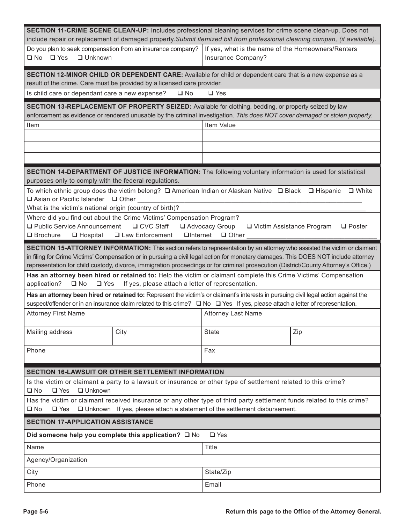| SECTION 11-CRIME SCENE CLEAN-UP: Includes professional cleaning services for crime scene clean-up. Does not<br>include repair or replacement of damaged property. Submit itemized bill from professional cleaning compan, (if available).                                                                                                                                                              |              |                                                                          |     |
|--------------------------------------------------------------------------------------------------------------------------------------------------------------------------------------------------------------------------------------------------------------------------------------------------------------------------------------------------------------------------------------------------------|--------------|--------------------------------------------------------------------------|-----|
| Do you plan to seek compensation from an insurance company?<br>$\square$ Yes<br>□ Unknown<br>$\square$ No                                                                                                                                                                                                                                                                                              |              | If yes, what is the name of the Homeowners/Renters<br>Insurance Company? |     |
| SECTION 12-MINOR CHILD OR DEPENDENT CARE: Available for child or dependent care that is a new expense as a                                                                                                                                                                                                                                                                                             |              |                                                                          |     |
| result of the crime. Care must be provided by a licensed care provider.<br>Is child care or dependant care a new expense?                                                                                                                                                                                                                                                                              | $\square$ No | $\Box$ Yes                                                               |     |
|                                                                                                                                                                                                                                                                                                                                                                                                        |              |                                                                          |     |
| SECTION 13-REPLACEMENT OF PROPERTY SEIZED: Available for clothing, bedding, or property seized by law<br>enforcement as evidence or rendered unusable by the criminal investigation. This does NOT cover damaged or stolen property.                                                                                                                                                                   |              |                                                                          |     |
| Item Value<br>Item                                                                                                                                                                                                                                                                                                                                                                                     |              |                                                                          |     |
|                                                                                                                                                                                                                                                                                                                                                                                                        |              |                                                                          |     |
|                                                                                                                                                                                                                                                                                                                                                                                                        |              |                                                                          |     |
|                                                                                                                                                                                                                                                                                                                                                                                                        |              |                                                                          |     |
| SECTION 14-DEPARTMENT OF JUSTICE INFORMATION: The following voluntary information is used for statistical<br>purposes only to comply with the federal regulations.                                                                                                                                                                                                                                     |              |                                                                          |     |
| To which ethnic group does the victim belong? $\square$ American Indian or Alaskan Native $\square$ Black $\square$ Hispanic<br>$\Box$ White<br>□ Asian or Pacific Islander □ Other ___                                                                                                                                                                                                                |              |                                                                          |     |
| What is the victim's national origin (country of birth)?<br>Where did you find out about the Crime Victims' Compensation Program?                                                                                                                                                                                                                                                                      |              |                                                                          |     |
| □ Public Service Announcement<br>$\Box$ CVC Staff<br>Advocacy Group<br>□ Victim Assistance Program<br>$\Box$ Poster<br>$\Box$ Internet<br>$\Box$ Brochure<br>$\Box$ Hospital<br>□ Law Enforcement<br>$\Box$ Other                                                                                                                                                                                      |              |                                                                          |     |
| SECTION 15-ATTORNEY INFORMATION: This section refers to representation by an attorney who assisted the victim or claimant<br>in filing for Crime Victims' Compensation or in pursuing a civil legal action for monetary damages. This DOES NOT include attorney<br>representation for child custody, divorce, immigration proceedings or for criminal prosecution (District/County Attorney's Office.) |              |                                                                          |     |
| Has an attorney been hired or retained to: Help the victim or claimant complete this Crime Victims' Compensation<br>If yes, please attach a letter of representation.<br>application?<br>$\Box$ No $\Box$ Yes                                                                                                                                                                                          |              |                                                                          |     |
| Has an attorney been hired or retained to: Represent the victim's or claimant's interests in pursuing civil legal action against the<br>suspect/offender or in an insurance claim related to this crime? □ No □ Yes If yes, please attach a letter of representation.                                                                                                                                  |              |                                                                          |     |
| <b>Attorney First Name</b>                                                                                                                                                                                                                                                                                                                                                                             |              | <b>Attorney Last Name</b>                                                |     |
| Mailing address<br>City                                                                                                                                                                                                                                                                                                                                                                                |              | <b>State</b>                                                             | Zip |
| Phone                                                                                                                                                                                                                                                                                                                                                                                                  |              | Fax                                                                      |     |
| <b>SECTION 16-LAWSUIT OR OTHER SETTLEMENT INFORMATION</b>                                                                                                                                                                                                                                                                                                                                              |              |                                                                          |     |
| Is the victim or claimant a party to a lawsuit or insurance or other type of settlement related to this crime?<br>$\Box$ Yes<br>$\Box$ Unknown<br>$\square$ No                                                                                                                                                                                                                                         |              |                                                                          |     |
| Has the victim or claimant received insurance or any other type of third party settlement funds related to this crime?                                                                                                                                                                                                                                                                                 |              |                                                                          |     |
| $\Box$ Unknown If yes, please attach a statement of the settlement disbursement.<br>$\square$ No<br>$\Box$ Yes                                                                                                                                                                                                                                                                                         |              |                                                                          |     |
| <b>SECTION 17-APPLICATION ASSISTANCE</b>                                                                                                                                                                                                                                                                                                                                                               |              |                                                                          |     |
| $\Box$ Yes<br>Did someone help you complete this application? $\square$ No                                                                                                                                                                                                                                                                                                                             |              |                                                                          |     |
| Name                                                                                                                                                                                                                                                                                                                                                                                                   |              | <b>Title</b>                                                             |     |
| Agency/Organization                                                                                                                                                                                                                                                                                                                                                                                    |              |                                                                          |     |
| City                                                                                                                                                                                                                                                                                                                                                                                                   |              | State/Zip                                                                |     |
| Phone                                                                                                                                                                                                                                                                                                                                                                                                  |              | Email                                                                    |     |